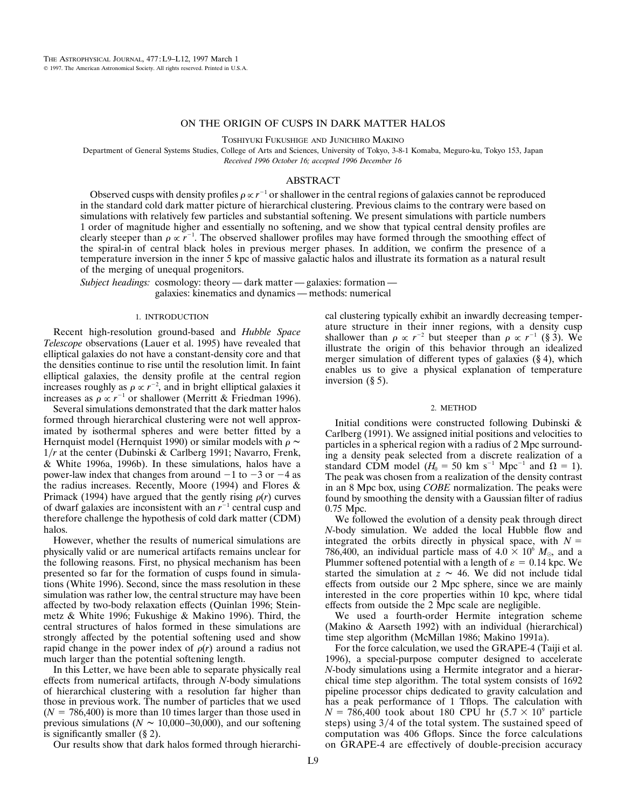## ON THE ORIGIN OF CUSPS IN DARK MATTER HALOS

TOSHIYUKI FUKUSHIGE AND JUNICHIRO MAKINO

Department of General Systems Studies, College of Arts and Sciences, University of Tokyo, 3-8-1 Komaba, Meguro-ku, Tokyo 153, Japan *Received 1996 October 16; accepted 1996 December 16*

## ABSTRACT

Observed cusps with density profiles  $\rho \propto r^{-1}$  or shallower in the central regions of galaxies cannot be reproduced in the standard cold dark matter picture of hierarchical clustering. Previous claims to the contrary were based on simulations with relatively few particles and substantial softening. We present simulations with particle numbers 1 order of magnitude higher and essentially no softening, and we show that typical central density profiles are clearly steeper than  $\rho \propto r^{-1}$ . The observed shallower profiles may have formed through the smoothing effect of the spiral-in of central black holes in previous merger phases. In addition, we confirm the presence of a temperature inversion in the inner 5 kpc of massive galactic halos and illustrate its formation as a natural result of the merging of unequal progenitors.

*Subject headings:* cosmology: theory — dark matter — galaxies: formation galaxies: kinematics and dynamics — methods: numerical

#### 1. INTRODUCTION

Recent high-resolution ground-based and *Hubble Space Telescope* observations (Lauer et al. 1995) have revealed that elliptical galaxies do not have a constant-density core and that the densities continue to rise until the resolution limit. In faint elliptical galaxies, the density profile at the central region increases roughly as  $\rho \propto r^{-2}$ , and in bright elliptical galaxies it increases as  $\rho \propto r^{-1}$  or shallower (Merritt & Friedman 1996).

Several simulations demonstrated that the dark matter halos formed through hierarchical clustering were not well approximated by isothermal spheres and were better fitted by a Hernquist model (Hernquist 1990) or similar models with  $\rho \sim$ 1/*r* at the center (Dubinski & Carlberg 1991; Navarro, Frenk, & White 1996a, 1996b). In these simulations, halos have a power-law index that changes from around  $-1$  to  $-3$  or  $-4$  as the radius increases. Recently, Moore (1994) and Flores & Primack (1994) have argued that the gently rising  $\rho(r)$  curves of dwarf galaxies are inconsistent with an  $r^{-1}$  central cusp and therefore challenge the hypothesis of cold dark matter (CDM) halos.

However, whether the results of numerical simulations are physically valid or are numerical artifacts remains unclear for the following reasons. First, no physical mechanism has been presented so far for the formation of cusps found in simulations (White 1996). Second, since the mass resolution in these simulation was rather low, the central structure may have been affected by two-body relaxation effects (Quinlan 1996; Steinmetz & White 1996; Fukushige & Makino 1996). Third, the central structures of halos formed in these simulations are strongly affected by the potential softening used and show rapid change in the power index of  $\rho(r)$  around a radius not much larger than the potential softening length.

In this Letter, we have been able to separate physically real effects from numerical artifacts, through *N*-body simulations of hierarchical clustering with a resolution far higher than those in previous work. The number of particles that we used  $(N = 786,400)$  is more than 10 times larger than those used in previous simulations ( $N \sim 10,000-30,000$ ), and our softening is significantly smaller (§ 2).

Our results show that dark halos formed through hierarchi-

cal clustering typically exhibit an inwardly decreasing temperature structure in their inner regions, with a density cusp shallower than  $\rho \propto r^{-2}$  but steeper than  $\rho \propto r^{-1}$  (§ 3). We illustrate the origin of this behavior through an idealized merger simulation of different types of galaxies (§ 4), which enables us to give a physical explanation of temperature inversion (§ 5).

#### 2. METHOD

Initial conditions were constructed following Dubinski & Carlberg (1991). We assigned initial positions and velocities to particles in a spherical region with a radius of 2 Mpc surrounding a density peak selected from a discrete realization of a standard CDM model ( $H_0 = 50$  km s<sup>-1</sup> Mpc<sup>-1</sup> and  $\Omega = 1$ ). The peak was chosen from a realization of the density contrast in an 8 Mpc box, using *COBE* normalization. The peaks were found by smoothing the density with a Gaussian filter of radius 0.75 Mpc.

We followed the evolution of a density peak through direct *N*-body simulation. We added the local Hubble flow and integrated the orbits directly in physical space, with  $N =$ 786,400, an individual particle mass of  $4.0 \times 10^6$   $M_{\odot}$ , and a Plummer softened potential with a length of  $\varepsilon = 0.14$  kpc. We started the simulation at  $z \sim 46$ . We did not include tidal effects from outside our 2 Mpc sphere, since we are mainly interested in the core properties within 10 kpc, where tidal effects from outside the 2 Mpc scale are negligible.

We used a fourth-order Hermite integration scheme (Makino & Aarseth 1992) with an individual (hierarchical) time step algorithm (McMillan 1986; Makino 1991a).

For the force calculation, we used the GRAPE-4 (Taiji et al. 1996), a special-purpose computer designed to accelerate *N*-body simulations using a Hermite integrator and a hierarchical time step algorithm. The total system consists of 1692 pipeline processor chips dedicated to gravity calculation and has a peak performance of 1 Tflops. The calculation with  $N = 786,400$  took about 180 CPU hr  $(5.7 \times 10^9)$  particle steps) using  $3/4$  of the total system. The sustained speed of computation was 406 Gflops. Since the force calculations on GRAPE-4 are effectively of double-precision accuracy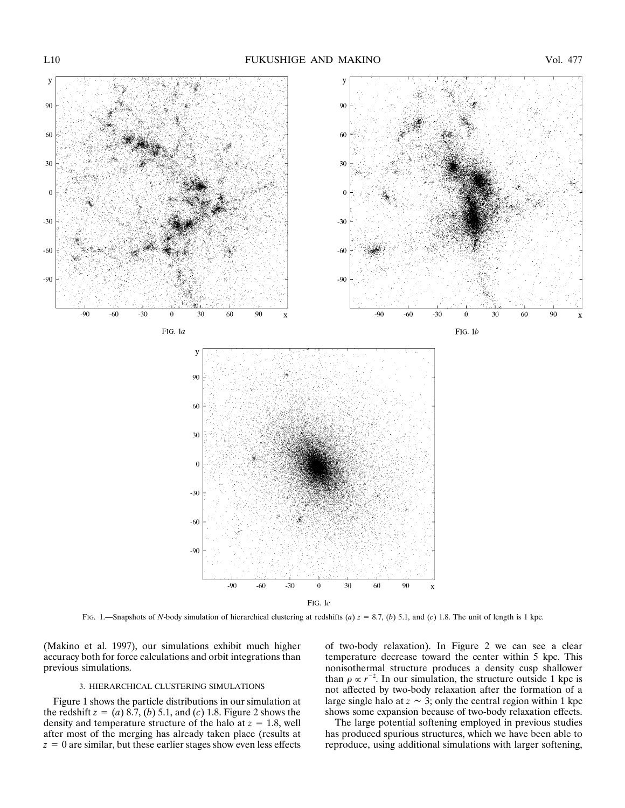

FIG. 1.—Snapshots of *N*-body simulation of hierarchical clustering at redshifts (*a*)  $z = 8.7$ , (*b*) 5.1, and (*c*) 1.8. The unit of length is 1 kpc.

(Makino et al. 1997), our simulations exhibit much higher accuracy both for force calculations and orbit integrations than previous simulations.

# 3. HIERARCHICAL CLUSTERING SIMULATIONS

Figure 1 shows the particle distributions in our simulation at the redshift  $z = (a) 8.7$ , (*b*) 5.1, and (*c*) 1.8. Figure 2 shows the density and temperature structure of the halo at  $z = 1.8$ , well after most of the merging has already taken place (results at  $z = 0$  are similar, but these earlier stages show even less effects of two-body relaxation). In Figure 2 we can see a clear temperature decrease toward the center within 5 kpc. This nonisothermal structure produces a density cusp shallower than  $\rho \propto r^{-2}$ . In our simulation, the structure outside 1 kpc is not affected by two-body relaxation after the formation of a large single halo at  $z \sim 3$ ; only the central region within 1 kpc shows some expansion because of two-body relaxation effects.

The large potential softening employed in previous studies has produced spurious structures, which we have been able to reproduce, using additional simulations with larger softening,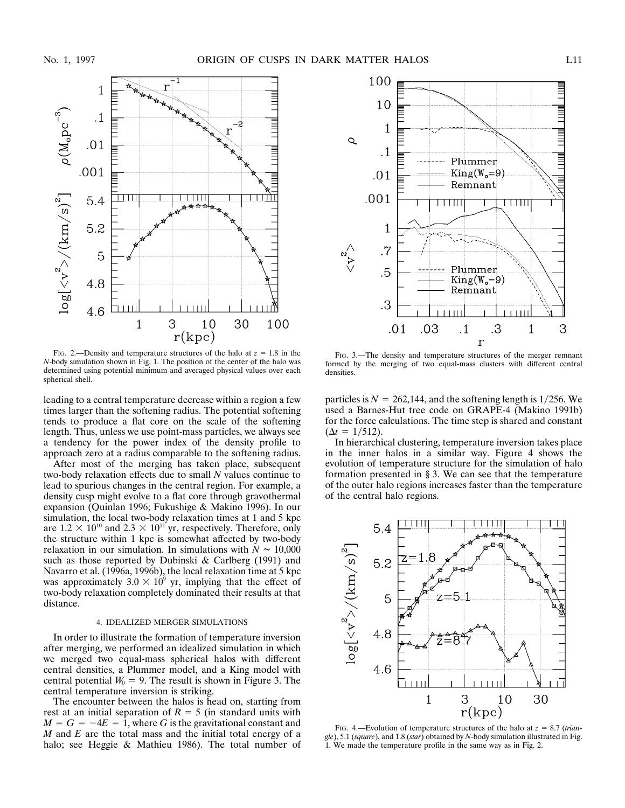

FIG. 2.—Density and temperature structures of the halo at  $z = 1.8$  in the *N*-body simulation shown in Fig. 1. The position of the center of the halo was determined using potential minimum and averaged physical values over each spherical shell.

leading to a central temperature decrease within a region a few times larger than the softening radius. The potential softening tends to produce a flat core on the scale of the softening length. Thus, unless we use point-mass particles, we always see a tendency for the power index of the density profile to approach zero at a radius comparable to the softening radius.

After most of the merging has taken place, subsequent two-body relaxation effects due to small *N* values continue to lead to spurious changes in the central region. For example, a density cusp might evolve to a flat core through gravothermal expansion (Quinlan 1996; Fukushige & Makino 1996). In our simulation, the local two-body relaxation times at 1 and 5 kpc are  $1.2 \times 10^{10}$  and  $2.3 \times 10^{11}$  yr, respectively. Therefore, only the structure within 1 kpc is somewhat affected by two-body relaxation in our simulation. In simulations with  $N \sim 10,000$ such as those reported by Dubinski & Carlberg (1991) and Navarro et al. (1996a, 1996b), the local relaxation time at 5 kpc was approximately  $3.0 \times 10^9$  yr, implying that the effect of two-body relaxation completely dominated their results at that distance.

# 4. IDEALIZED MERGER SIMULATIONS

In order to illustrate the formation of temperature inversion after merging, we performed an idealized simulation in which we merged two equal-mass spherical halos with different central densities, a Plummer model, and a King model with central potential  $W_0 = 9$ . The result is shown in Figure 3. The central temperature inversion is striking.

The encounter between the halos is head on, starting from rest at an initial separation of  $R = 5$  (in standard units with  $M = G = -4E = 1$ , where *G* is the gravitational constant and *M* and *E* are the total mass and the initial total energy of a halo; see Heggie & Mathieu 1986). The total number of



FIG. 3.—The density and temperature structures of the merger remnant formed by the merging of two equal-mass clusters with different central densities.

particles is  $N = 262,144$ , and the softening length is 1/256. We used a Barnes-Hut tree code on GRAPE-4 (Makino 1991b) for the force calculations. The time step is shared and constant  $(\Delta t = 1/512).$ 

In hierarchical clustering, temperature inversion takes place in the inner halos in a similar way. Figure 4 shows the evolution of temperature structure for the simulation of halo formation presented in § 3. We can see that the temperature of the outer halo regions increases faster than the temperature of the central halo regions.



FIG. 4.—Evolution of temperature structures of the halo at  $z = 8.7$  (*triangle*), 5.1 (*square*), and 1.8 (*star*) obtained by *N*-body simulation illustrated in Fig. 1. We made the temperature profile in the same way as in Fig. 2.